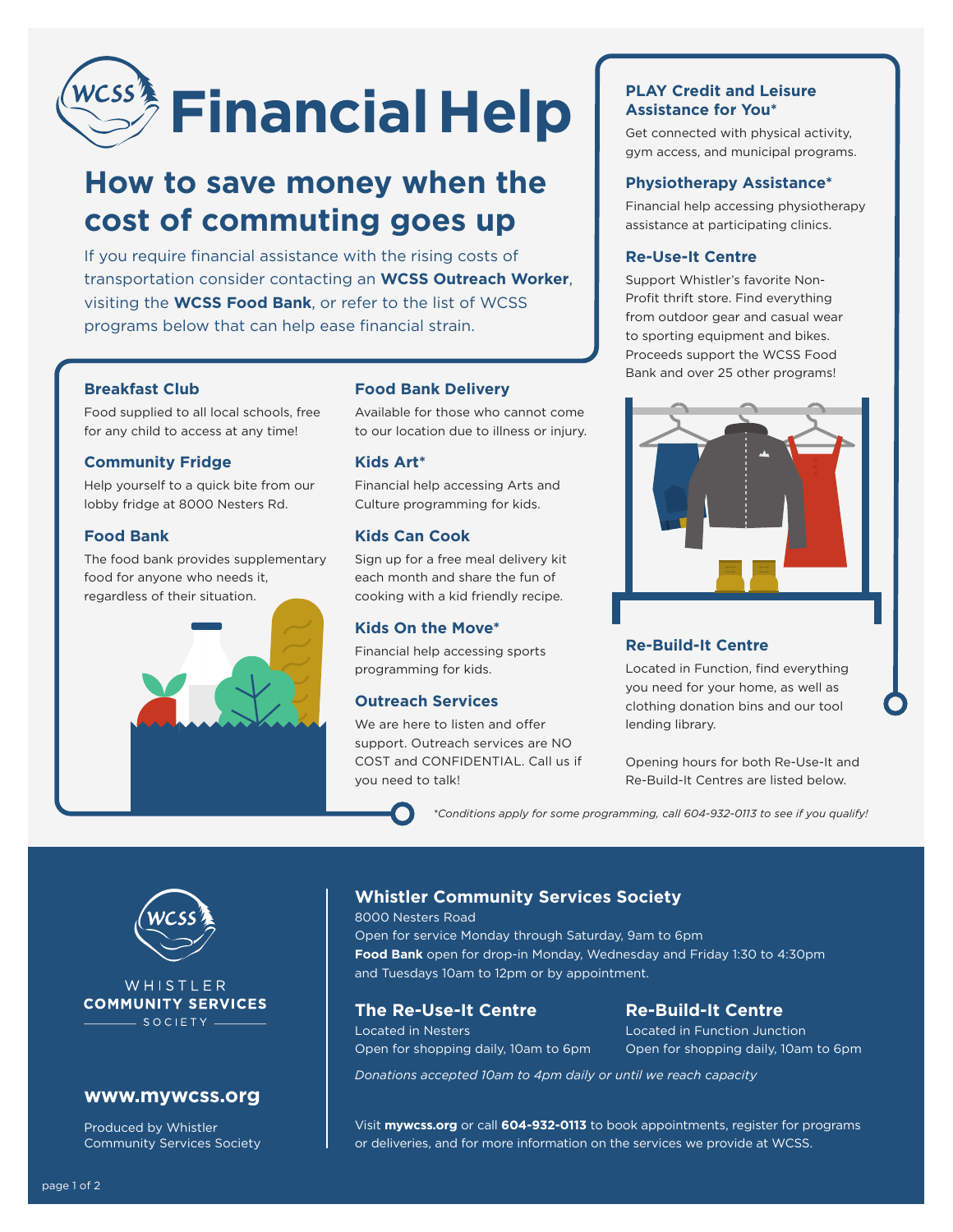# *WCSS***<sup>3</sup> Financial Help**

## **How to save money when the cost of commuting goes up**

If you require financial assistance with the rising costs of transportation consider contacting an **WCSS Outreach Worker**, visiting the **WCSS Food Bank**, or refer to the list of WCSS programs below that can help ease financial strain.

#### **Breakfast Club**

Food supplied to all local schools, free for any child to access at any time!

#### **Community Fridge**

Help yourself to a quick bite from our lobby fridge at 8000 Nesters Rd.

#### **Food Bank**

The food bank provides supplementary food for anyone who needs it, regardless of their situation.



#### **Food Bank Delivery**

Available for those who cannot come to our location due to illness or injury.

#### **Kids Art\***

Financial help accessing Arts and Culture programming for kids.

#### **Kids Can Cook**

Sign up for a free meal delivery kit each month and share the fun of cooking with a kid friendly recipe.

#### **Kids On the Move\***

Financial help accessing sports programming for kids.

#### **Outreach Services**

We are here to listen and offer support. Outreach services are NO COST and CONFIDENTIAL. Call us if you need to talk!

#### **PLAY Credit and Leisure Assistance for You\***

Get connected with physical activity, gym access, and municipal programs.

#### **Physiotherapy Assistance\***

Financial help accessing physiotherapy assistance at participating clinics.

#### **Re-Use-It Centre**

Support Whistler's favorite Non-Profit thrift store. Find everything from outdoor gear and casual wear to sporting equipment and bikes. Proceeds support the WCSS Food Bank and over 25 other programs!



#### **Re-Build-It Centre**

Located in Function, find everything you need for your home, as well as clothing donation bins and our tool lending library.

Opening hours for both Re-Use-It and Re-Build-It Centres are listed below.

*\*Conditions apply for some programming, call 604-932-0113 to see if you qualify!*



#### WHISTLER **COMMUNITY SERVICES** - SOCIETY -

#### **www.mywcss.org**

Produced by Whistler Community Services Society

#### **Whistler Community Services Society**

8000 Nesters Road Open for service Monday through Saturday, 9am to 6pm **Food Bank** open for drop-in Monday, Wednesday and Friday 1:30 to 4:30pm and Tuesdays 10am to 12pm or by appointment.

#### **The Re-Use-It Centre Re-Build-It Centre**

Located in Nesters Located in Function Junction

Open for shopping daily, 10am to 6pm Open for shopping daily, 10am to 6pm

*Donations accepted 10am to 4pm daily or until we reach capacity*

Visit **mywcss.org** or call **604-932-0113** to book appointments, register for programs or deliveries, and for more information on the services we provide at WCSS.